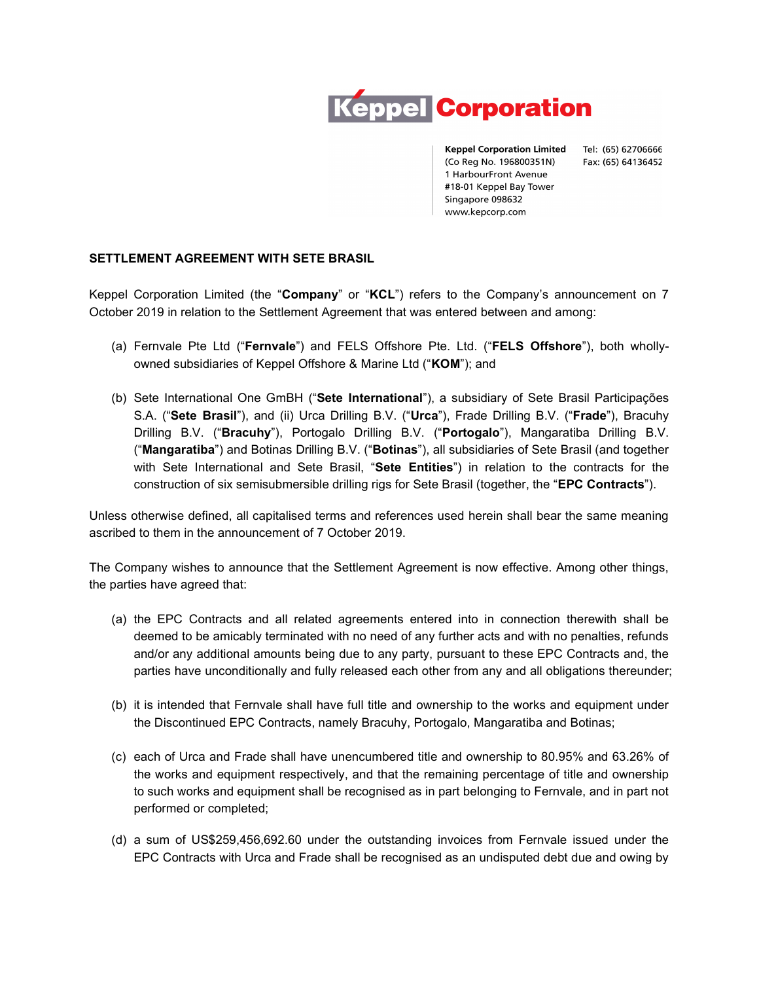

**Keppel Corporation Limited** (Co Reg No. 196800351N) 1 HarbourFront Avenue #18-01 Keppel Bay Tower Singapore 098632 www.kepcorp.com

Tel: (65) 62706666 Fax: (65) 64136452

## SETTLEMENT AGREEMENT WITH SETE BRASIL

Keppel Corporation Limited (the "Company" or "KCL") refers to the Company's announcement on 7 October 2019 in relation to the Settlement Agreement that was entered between and among:

- (a) Fernvale Pte Ltd ("Fernvale") and FELS Offshore Pte. Ltd. ("FELS Offshore"), both whollyowned subsidiaries of Keppel Offshore & Marine Ltd ("KOM"); and
- (b) Sete International One GmBH ("Sete International"), a subsidiary of Sete Brasil Participações S.A. ("Sete Brasil"), and (ii) Urca Drilling B.V. ("Urca"), Frade Drilling B.V. ("Frade"), Bracuhy Drilling B.V. ("Bracuhy"), Portogalo Drilling B.V. ("Portogalo"), Mangaratiba Drilling B.V. ("Mangaratiba") and Botinas Drilling B.V. ("Botinas"), all subsidiaries of Sete Brasil (and together with Sete International and Sete Brasil, "Sete Entities") in relation to the contracts for the construction of six semisubmersible drilling rigs for Sete Brasil (together, the "EPC Contracts").

Unless otherwise defined, all capitalised terms and references used herein shall bear the same meaning ascribed to them in the announcement of 7 October 2019.

The Company wishes to announce that the Settlement Agreement is now effective. Among other things, the parties have agreed that:

- (a) the EPC Contracts and all related agreements entered into in connection therewith shall be deemed to be amicably terminated with no need of any further acts and with no penalties, refunds and/or any additional amounts being due to any party, pursuant to these EPC Contracts and, the parties have unconditionally and fully released each other from any and all obligations thereunder;
- (b) it is intended that Fernvale shall have full title and ownership to the works and equipment under the Discontinued EPC Contracts, namely Bracuhy, Portogalo, Mangaratiba and Botinas;
- (c) each of Urca and Frade shall have unencumbered title and ownership to 80.95% and 63.26% of the works and equipment respectively, and that the remaining percentage of title and ownership to such works and equipment shall be recognised as in part belonging to Fernvale, and in part not performed or completed;
- (d) a sum of US\$259,456,692.60 under the outstanding invoices from Fernvale issued under the EPC Contracts with Urca and Frade shall be recognised as an undisputed debt due and owing by